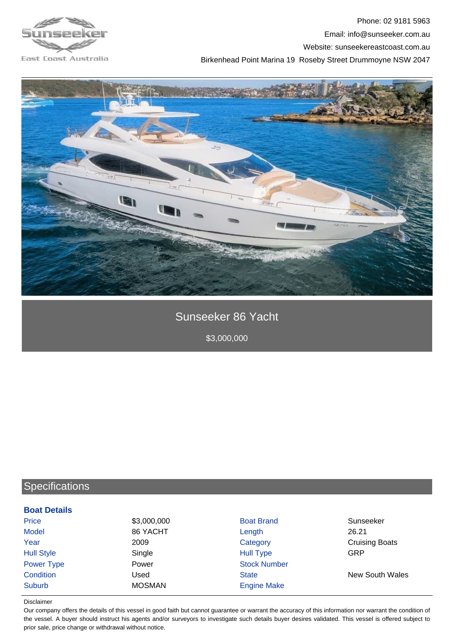





## Sunseeker 86 Yacht

\$3,000,000

## **Specifications**

| <b>Boat Details</b> |               |                     |                        |
|---------------------|---------------|---------------------|------------------------|
| <b>Price</b>        | \$3,000,000   | <b>Boat Brand</b>   | Sunseeker              |
| <b>Model</b>        | 86 YACHT      | Length              | 26.21                  |
| Year                | 2009          | Category            | <b>Cruising Boats</b>  |
| <b>Hull Style</b>   | Single        | <b>Hull Type</b>    | GRP                    |
| <b>Power Type</b>   | Power         | <b>Stock Number</b> |                        |
| Condition           | Used          | <b>State</b>        | <b>New South Wales</b> |
| Suburb              | <b>MOSMAN</b> | <b>Engine Make</b>  |                        |
|                     |               |                     |                        |

## Disclaimer

Our company offers the details of this vessel in good faith but cannot guarantee or warrant the accuracy of this information nor warrant the condition of the vessel. A buyer should instruct his agents and/or surveyors to investigate such details buyer desires validated. This vessel is offered subject to prior sale, price change or withdrawal without notice.